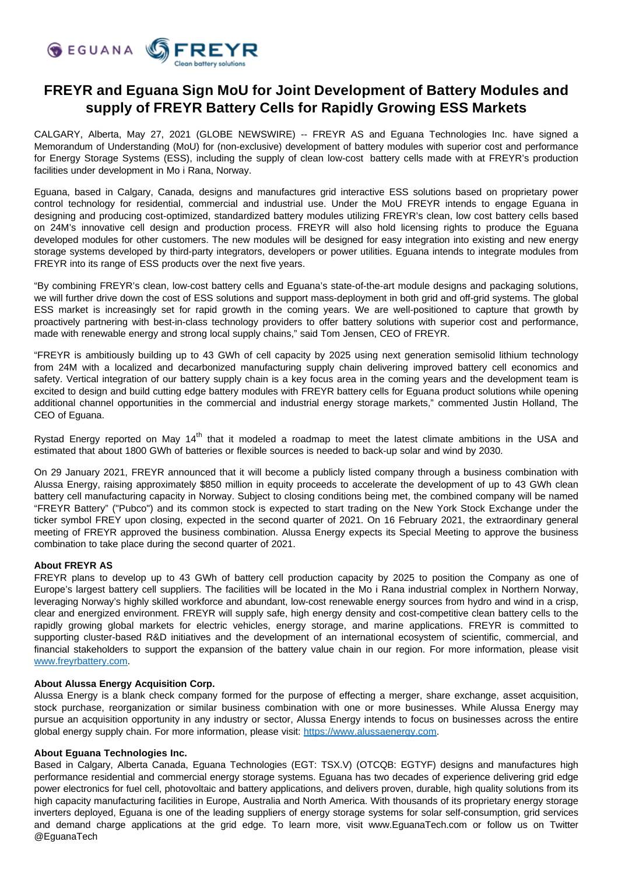

# **FREYR and Eguana Sign MoU for Joint Development of Battery Modules and supply of FREYR Battery Cells for Rapidly Growing ESS Markets**

CALGARY, Alberta, May 27, 2021 (GLOBE NEWSWIRE) -- FREYR AS and Eguana Technologies Inc. have signed a Memorandum of Understanding (MoU) for (non-exclusive) development of battery modules with superior cost and performance for Energy Storage Systems (ESS), including the supply of clean low-cost battery cells made with at FREYR's production facilities under development in Mo i Rana, Norway.

Eguana, based in Calgary, Canada, designs and manufactures grid interactive ESS solutions based on proprietary power control technology for residential, commercial and industrial use. Under the MoU FREYR intends to engage Eguana in designing and producing cost-optimized, standardized battery modules utilizing FREYR's clean, low cost battery cells based on 24M's innovative cell design and production process. FREYR will also hold licensing rights to produce the Eguana developed modules for other customers. The new modules will be designed for easy integration into existing and new energy storage systems developed by third-party integrators, developers or power utilities. Eguana intends to integrate modules from FREYR into its range of ESS products over the next five years.

"By combining FREYR's clean, low-cost battery cells and Eguana's state-of-the-art module designs and packaging solutions, we will further drive down the cost of ESS solutions and support mass-deployment in both grid and off-grid systems. The global ESS market is increasingly set for rapid growth in the coming years. We are well-positioned to capture that growth by proactively partnering with best-in-class technology providers to offer battery solutions with superior cost and performance, made with renewable energy and strong local supply chains," said Tom Jensen, CEO of FREYR.

"FREYR is ambitiously building up to 43 GWh of cell capacity by 2025 using next generation semisolid lithium technology from 24M with a localized and decarbonized manufacturing supply chain delivering improved battery cell economics and safety. Vertical integration of our battery supply chain is a key focus area in the coming years and the development team is excited to design and build cutting edge battery modules with FREYR battery cells for Eguana product solutions while opening additional channel opportunities in the commercial and industrial energy storage markets," commented Justin Holland, The CEO of Eguana.

Rystad Energy reported on May 14<sup>th</sup> that it modeled a roadmap to meet the latest climate ambitions in the USA and estimated that about 1800 GWh of batteries or flexible sources is needed to back-up solar and wind by 2030.

On 29 January 2021, FREYR announced that it will become a publicly listed company through a business combination with Alussa Energy, raising approximately \$850 million in equity proceeds to accelerate the development of up to 43 GWh clean battery cell manufacturing capacity in Norway. Subject to closing conditions being met, the combined company will be named "FREYR Battery" ("Pubco") and its common stock is expected to start trading on the New York Stock Exchange under the ticker symbol FREY upon closing, expected in the second quarter of 2021. On 16 February 2021, the extraordinary general meeting of FREYR approved the business combination. Alussa Energy expects its Special Meeting to approve the business combination to take place during the second quarter of 2021.

# **About FREYR AS**

FREYR plans to develop up to 43 GWh of battery cell production capacity by 2025 to position the Company as one of Europe's largest battery cell suppliers. The facilities will be located in the Mo i Rana industrial complex in Northern Norway, leveraging Norway's highly skilled workforce and abundant, low-cost renewable energy sources from hydro and wind in a crisp, clear and energized environment. FREYR will supply safe, high energy density and cost-competitive clean battery cells to the rapidly growing global markets for electric vehicles, energy storage, and marine applications. FREYR is committed to supporting cluster-based R&D initiatives and the development of an international ecosystem of scientific, commercial, and financial stakeholders to support the expansion of the battery value chain in our region. For more information, please visit [www.freyrbattery.com.](http://www.freyrbattery.com/)

# **About Alussa Energy Acquisition Corp.**

Alussa Energy is a blank check company formed for the purpose of effecting a merger, share exchange, asset acquisition, stock purchase, reorganization or similar business combination with one or more businesses. While Alussa Energy may pursue an acquisition opportunity in any industry or sector, Alussa Energy intends to focus on businesses across the entire global energy supply chain. For more information, please visit: [https://www.alussaenergy.com](https://www.alussaenergy.com/).

#### **About Eguana Technologies Inc.**

Based in Calgary, Alberta Canada, Eguana Technologies (EGT: TSX.V) (OTCQB: EGTYF) designs and manufactures high performance residential and commercial energy storage systems. Eguana has two decades of experience delivering grid edge power electronics for fuel cell, photovoltaic and battery applications, and delivers proven, durable, high quality solutions from its high capacity manufacturing facilities in Europe, Australia and North America. With thousands of its proprietary energy storage inverters deployed, Eguana is one of the leading suppliers of energy storage systems for solar self-consumption, grid services and demand charge applications at the grid edge. To learn more, visit www.EguanaTech.com or follow us on Twitter @EguanaTech